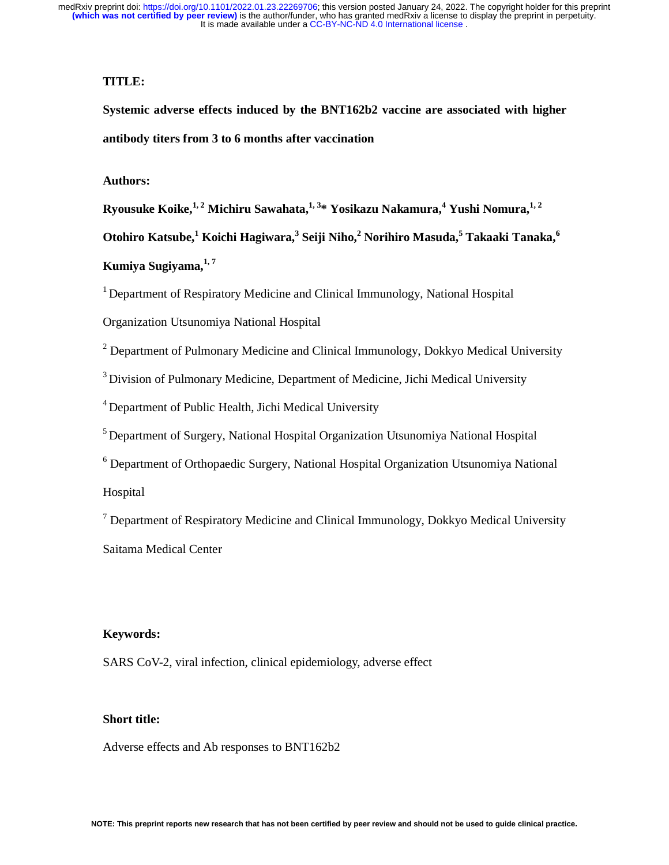## **TITLE:**

**Systemic adverse effects induced by the BNT162b2 vaccine are associated with higher antibody titers from 3 to 6 months after vaccination** 

## **Authors:**

 $R$ yousuke Koike, $^{1,\,2}$  Michiru Sawahata, $^{1,\,3}$ \* Yosikazu Nakamura, $^{4}$  Yushi Nomura, $^{1,\,2}$ 

**Otohiro Katsube,<sup>1</sup> Koichi Hagiwara,<sup>3</sup> Seiji Niho,<sup>2</sup> Norihiro Masuda,<sup>5</sup> Takaaki Tanaka,<sup>6</sup>**

# **Kumiya Sugiyama,1, 7**

1 Department of Respiratory Medicine and Clinical Immunology, National Hospital

Organization Utsunomiya National Hospital

 $2$  Department of Pulmonary Medicine and Clinical Immunology, Dokkyo Medical University

<sup>3</sup> Division of Pulmonary Medicine, Department of Medicine, Jichi Medical University

4 Department of Public Health, Jichi Medical University

5 Department of Surgery, National Hospital Organization Utsunomiya National Hospital

<sup>6</sup> Department of Orthopaedic Surgery, National Hospital Organization Utsunomiya National

Hospital

<sup>7</sup> Department of Respiratory Medicine and Clinical Immunology, Dokkyo Medical University Saitama Medical Center

#### **Keywords:**

SARS CoV-2, viral infection, clinical epidemiology, adverse effect

## **Short title:**

Adverse effects and Ab responses to BNT162b2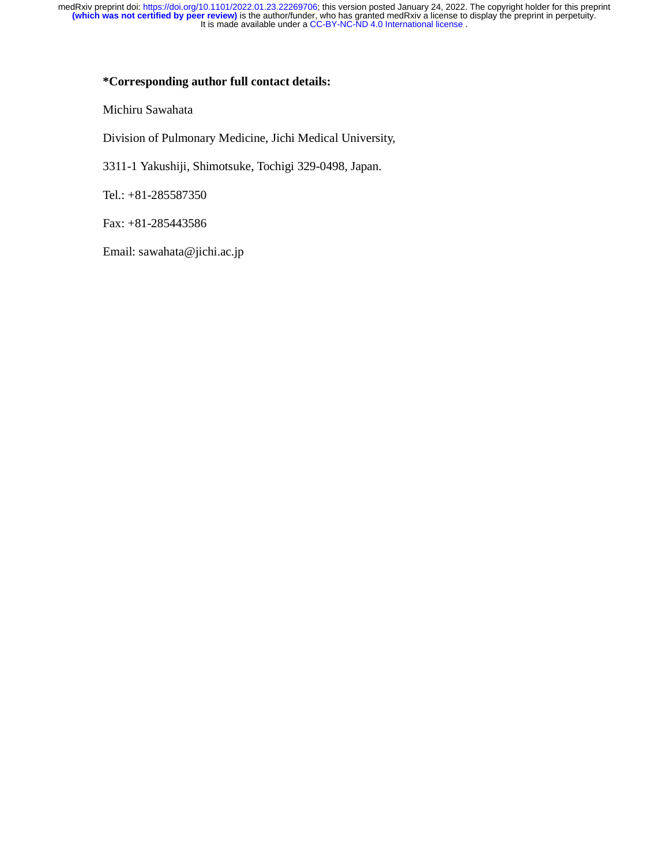### **\*Corresponding author full contact details:**

Michiru Sawahata

Division of Pulmonary Medicine, Jichi Medical University,

3311-1 Yakushiji, Shimotsuke, Tochigi 329-0498, Japan.

Tel.: +81-285587350

Fax: +81-285443586

Email: sawahata@jichi.ac.jp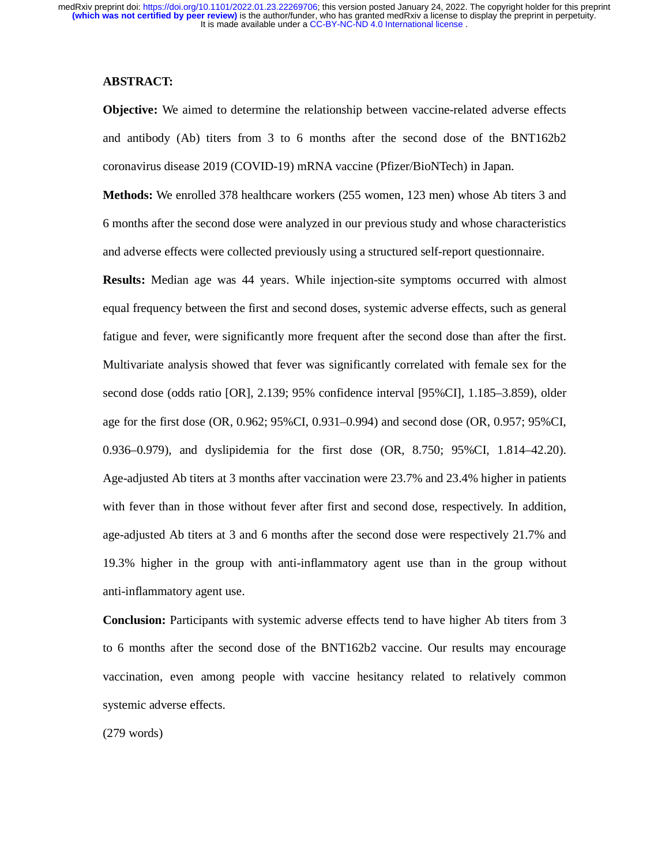#### **ABSTRACT:**

**Objective:** We aimed to determine the relationship between vaccine-related adverse effects and antibody (Ab) titers from 3 to 6 months after the second dose of the BNT162b2 coronavirus disease 2019 (COVID-19) mRNA vaccine (Pfizer/BioNTech) in Japan.

**Methods:** We enrolled 378 healthcare workers (255 women, 123 men) whose Ab titers 3 and 6 months after the second dose were analyzed in our previous study and whose characteristics and adverse effects were collected previously using a structured self-report questionnaire.

**Results:** Median age was 44 years. While injection-site symptoms occurred with almost equal frequency between the first and second doses, systemic adverse effects, such as general fatigue and fever, were significantly more frequent after the second dose than after the first. Multivariate analysis showed that fever was significantly correlated with female sex for the second dose (odds ratio [OR], 2.139; 95% confidence interval [95%CI], 1.185–3.859), older age for the first dose (OR, 0.962; 95%CI, 0.931–0.994) and second dose (OR, 0.957; 95%CI, 0.936–0.979), and dyslipidemia for the first dose (OR, 8.750; 95%CI, 1.814–42.20). Age-adjusted Ab titers at 3 months after vaccination were 23.7% and 23.4% higher in patients with fever than in those without fever after first and second dose, respectively. In addition, age-adjusted Ab titers at 3 and 6 months after the second dose were respectively 21.7% and 19.3% higher in the group with anti-inflammatory agent use than in the group without anti-inflammatory agent use.

**Conclusion:** Participants with systemic adverse effects tend to have higher Ab titers from 3 to 6 months after the second dose of the BNT162b2 vaccine. Our results may encourage vaccination, even among people with vaccine hesitancy related to relatively common systemic adverse effects.

(279 words)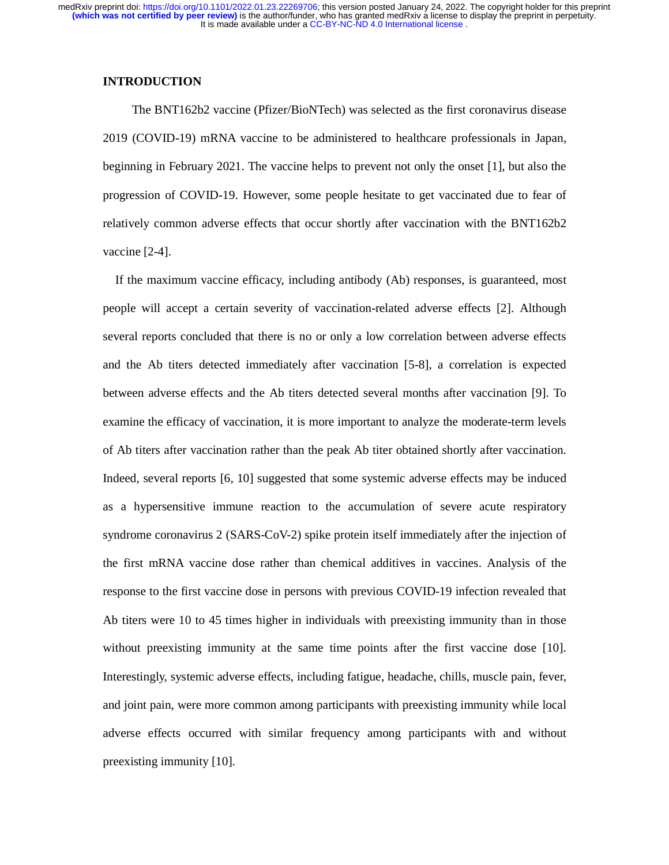## **INTRODUCTION**

The BNT162b2 vaccine (Pfizer/BioNTech) was selected as the first coronavirus disease 2019 (COVID-19) mRNA vaccine to be administered to healthcare professionals in Japan, beginning in February 2021. The vaccine helps to prevent not only the onset [1], but also the progression of COVID-19. However, some people hesitate to get vaccinated due to fear of relatively common adverse effects that occur shortly after vaccination with the BNT162b2 vaccine [2-4].

If the maximum vaccine efficacy, including antibody (Ab) responses, is guaranteed, most people will accept a certain severity of vaccination-related adverse effects [2]. Although several reports concluded that there is no or only a low correlation between adverse effects and the Ab titers detected immediately after vaccination [5-8], a correlation is expected between adverse effects and the Ab titers detected several months after vaccination [9]. To examine the efficacy of vaccination, it is more important to analyze the moderate-term levels of Ab titers after vaccination rather than the peak Ab titer obtained shortly after vaccination. Indeed, several reports [6, 10] suggested that some systemic adverse effects may be induced as a hypersensitive immune reaction to the accumulation of severe acute respiratory syndrome coronavirus 2 (SARS-CoV-2) spike protein itself immediately after the injection of the first mRNA vaccine dose rather than chemical additives in vaccines. Analysis of the response to the first vaccine dose in persons with previous COVID-19 infection revealed that Ab titers were 10 to 45 times higher in individuals with preexisting immunity than in those without preexisting immunity at the same time points after the first vaccine dose [10]. Interestingly, systemic adverse effects, including fatigue, headache, chills, muscle pain, fever, and joint pain, were more common among participants with preexisting immunity while local adverse effects occurred with similar frequency among participants with and without preexisting immunity [10].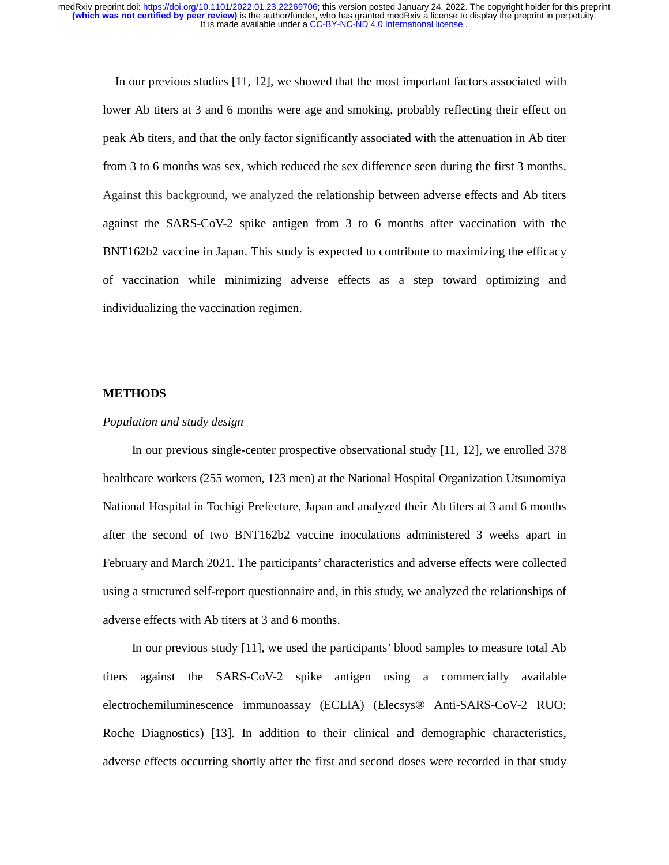In our previous studies [11, 12], we showed that the most important factors associated with lower Ab titers at 3 and 6 months were age and smoking, probably reflecting their effect on peak Ab titers, and that the only factor significantly associated with the attenuation in Ab titer from 3 to 6 months was sex, which reduced the sex difference seen during the first 3 months. Against this background, we analyzed the relationship between adverse effects and Ab titers against the SARS-CoV-2 spike antigen from 3 to 6 months after vaccination with the BNT162b2 vaccine in Japan. This study is expected to contribute to maximizing the efficacy of vaccination while minimizing adverse effects as a step toward optimizing and individualizing the vaccination regimen.

#### **METHODS**

#### *Population and study design*

In our previous single-center prospective observational study [11, 12], we enrolled 378 healthcare workers (255 women, 123 men) at the National Hospital Organization Utsunomiya National Hospital in Tochigi Prefecture, Japan and analyzed their Ab titers at 3 and 6 months after the second of two BNT162b2 vaccine inoculations administered 3 weeks apart in February and March 2021. The participants' characteristics and adverse effects were collected using a structured self-report questionnaire and, in this study, we analyzed the relationships of adverse effects with Ab titers at 3 and 6 months.

In our previous study [11], we used the participants' blood samples to measure total Ab titers against the SARS-CoV-2 spike antigen using a commercially available electrochemiluminescence immunoassay (ECLIA) (Elecsys® Anti-SARS-CoV-2 RUO; Roche Diagnostics) [13]. In addition to their clinical and demographic characteristics, adverse effects occurring shortly after the first and second doses were recorded in that study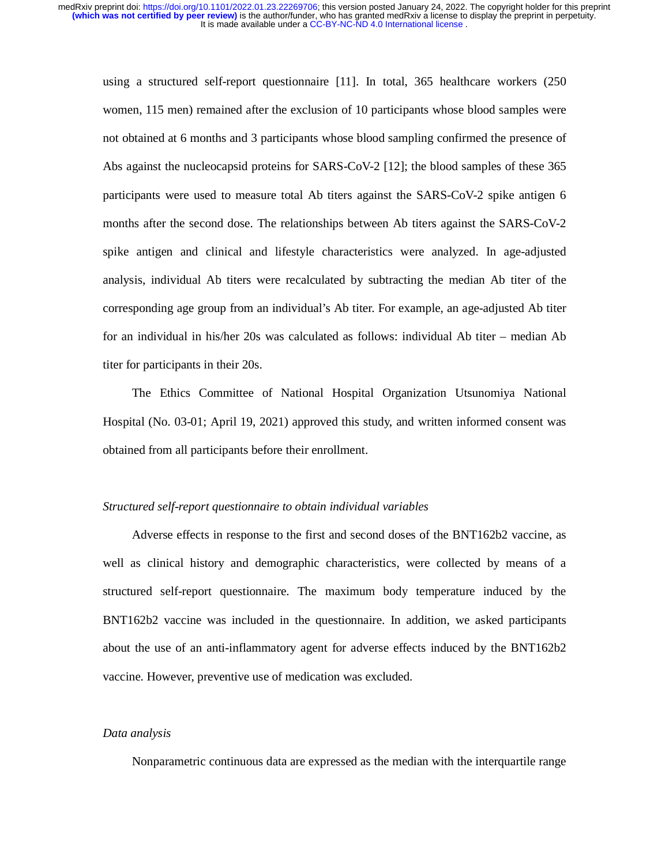using a structured self-report questionnaire [11]. In total, 365 healthcare workers (250 women, 115 men) remained after the exclusion of 10 participants whose blood samples were not obtained at 6 months and 3 participants whose blood sampling confirmed the presence of Abs against the nucleocapsid proteins for SARS-CoV-2 [12]; the blood samples of these 365 participants were used to measure total Ab titers against the SARS-CoV-2 spike antigen 6 months after the second dose. The relationships between Ab titers against the SARS-CoV-2 spike antigen and clinical and lifestyle characteristics were analyzed. In age-adjusted analysis, individual Ab titers were recalculated by subtracting the median Ab titer of the corresponding age group from an individual's Ab titer. For example, an age-adjusted Ab titer for an individual in his/her 20s was calculated as follows: individual Ab titer – median Ab titer for participants in their 20s.

The Ethics Committee of National Hospital Organization Utsunomiya National Hospital (No. 03-01; April 19, 2021) approved this study, and written informed consent was obtained from all participants before their enrollment.

#### *Structured self-report questionnaire to obtain individual variables*

Adverse effects in response to the first and second doses of the BNT162b2 vaccine, as well as clinical history and demographic characteristics, were collected by means of a structured self-report questionnaire. The maximum body temperature induced by the BNT162b2 vaccine was included in the questionnaire. In addition, we asked participants about the use of an anti-inflammatory agent for adverse effects induced by the BNT162b2 vaccine. However, preventive use of medication was excluded.

#### *Data analysis*

Nonparametric continuous data are expressed as the median with the interquartile range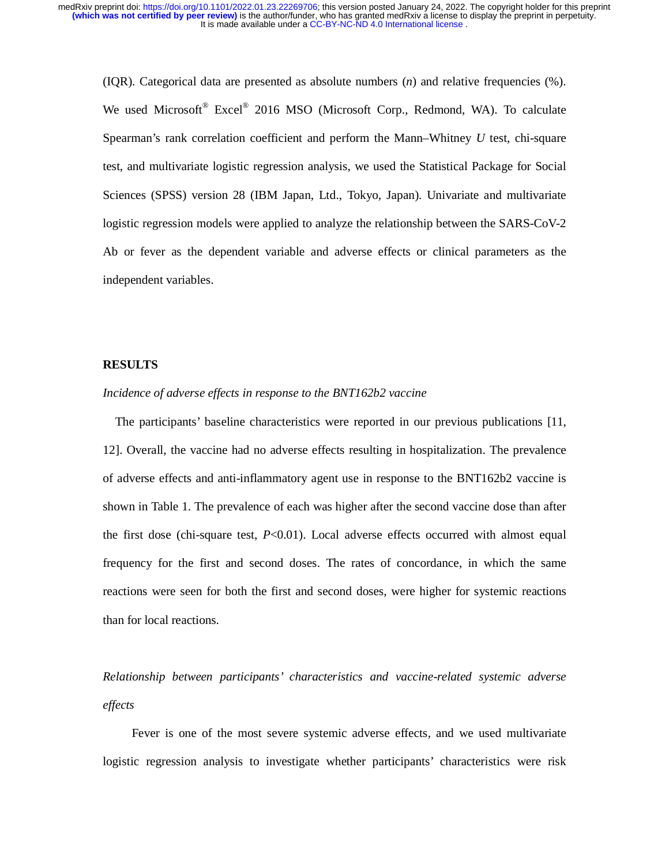(IQR). Categorical data are presented as absolute numbers (*n*) and relative frequencies (%). We used Microsoft<sup>®</sup> Excel<sup>®</sup> 2016 MSO (Microsoft Corp., Redmond, WA). To calculate Spearman's rank correlation coefficient and perform the Mann–Whitney *U* test, chi-square test, and multivariate logistic regression analysis, we used the Statistical Package for Social Sciences (SPSS) version 28 (IBM Japan, Ltd., Tokyo, Japan). Univariate and multivariate logistic regression models were applied to analyze the relationship between the SARS-CoV-2 Ab or fever as the dependent variable and adverse effects or clinical parameters as the independent variables.

#### **RESULTS**

#### *Incidence of adverse effects in response to the BNT162b2 vaccine*

The participants' baseline characteristics were reported in our previous publications [11, 12]. Overall, the vaccine had no adverse effects resulting in hospitalization. The prevalence of adverse effects and anti-inflammatory agent use in response to the BNT162b2 vaccine is shown in Table 1. The prevalence of each was higher after the second vaccine dose than after the first dose (chi-square test, *P*<0.01). Local adverse effects occurred with almost equal frequency for the first and second doses. The rates of concordance, in which the same reactions were seen for both the first and second doses, were higher for systemic reactions than for local reactions.

*Relationship between participants' characteristics and vaccine-related systemic adverse effects*

Fever is one of the most severe systemic adverse effects, and we used multivariate logistic regression analysis to investigate whether participants' characteristics were risk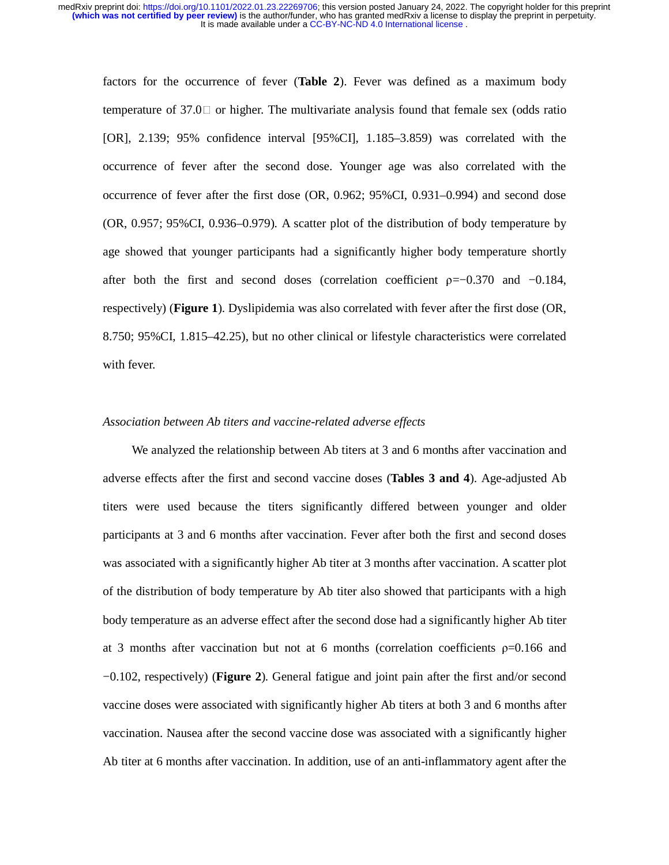factors for the occurrence of fever (**Table 2**). Fever was defined as a maximum body temperature of 37.0  $\Box$  or higher. The multivariate analysis found that female sex (odds ratio [OR], 2.139; 95% confidence interval [95%CI], 1.185–3.859) was correlated with the occurrence of fever after the second dose. Younger age was also correlated with the occurrence of fever after the first dose (OR, 0.962; 95%CI, 0.931–0.994) and second dose (OR, 0.957; 95%CI, 0.936–0.979). A scatter plot of the distribution of body temperature by age showed that younger participants had a significantly higher body temperature shortly after both the first and second doses (correlation coefficient  $p = -0.370$  and  $-0.184$ , respectively) (**Figure 1**). Dyslipidemia was also correlated with fever after the first dose (OR, 8.750; 95%CI, 1.815–42.25), but no other clinical or lifestyle characteristics were correlated with fever.

## *Association between Ab titers and vaccine-related adverse effects*

We analyzed the relationship between Ab titers at 3 and 6 months after vaccination and adverse effects after the first and second vaccine doses (**Tables 3 and 4**). Age-adjusted Ab titers were used because the titers significantly differed between younger and older participants at 3 and 6 months after vaccination. Fever after both the first and second doses was associated with a significantly higher Ab titer at 3 months after vaccination. A scatter plot of the distribution of body temperature by Ab titer also showed that participants with a high body temperature as an adverse effect after the second dose had a significantly higher Ab titer at 3 months after vaccination but not at 6 months (correlation coefficients  $p=0.166$  and −0.102, respectively) (**Figure 2**). General fatigue and joint pain after the first and/or second vaccine doses were associated with significantly higher Ab titers at both 3 and 6 months after vaccination. Nausea after the second vaccine dose was associated with a significantly higher Ab titer at 6 months after vaccination. In addition, use of an anti-inflammatory agent after the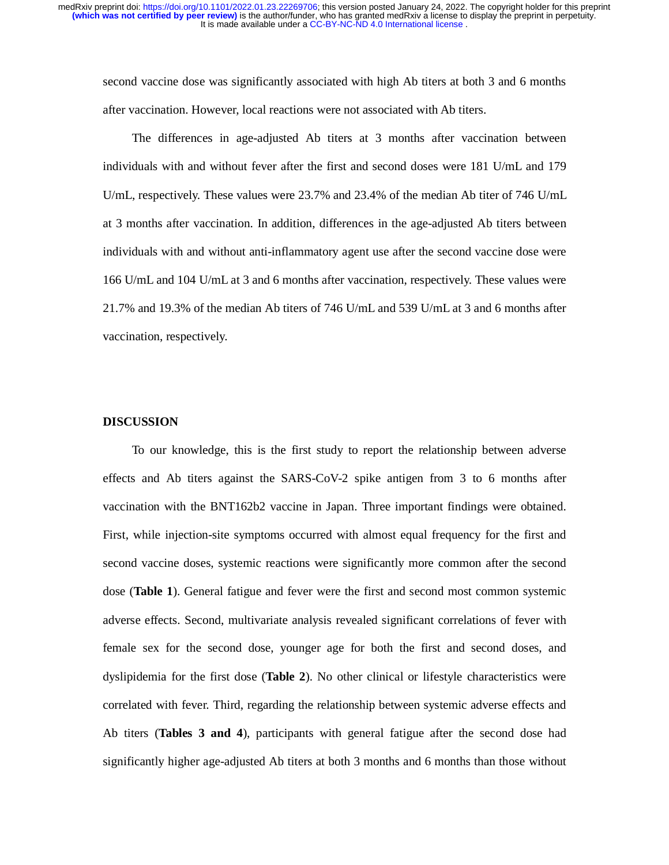second vaccine dose was significantly associated with high Ab titers at both 3 and 6 months after vaccination. However, local reactions were not associated with Ab titers.

The differences in age-adjusted Ab titers at 3 months after vaccination between individuals with and without fever after the first and second doses were 181 U/mL and 179 U/mL, respectively. These values were 23.7% and 23.4% of the median Ab titer of 746 U/mL at 3 months after vaccination. In addition, differences in the age-adjusted Ab titers between individuals with and without anti-inflammatory agent use after the second vaccine dose were 166 U/mL and 104 U/mL at 3 and 6 months after vaccination, respectively. These values were 21.7% and 19.3% of the median Ab titers of 746 U/mL and 539 U/mL at 3 and 6 months after vaccination, respectively.

#### **DISCUSSION**

To our knowledge, this is the first study to report the relationship between adverse effects and Ab titers against the SARS-CoV-2 spike antigen from 3 to 6 months after vaccination with the BNT162b2 vaccine in Japan. Three important findings were obtained. First, while injection-site symptoms occurred with almost equal frequency for the first and second vaccine doses, systemic reactions were significantly more common after the second dose (**Table 1**). General fatigue and fever were the first and second most common systemic adverse effects. Second, multivariate analysis revealed significant correlations of fever with female sex for the second dose, younger age for both the first and second doses, and dyslipidemia for the first dose (**Table 2**). No other clinical or lifestyle characteristics were correlated with fever. Third, regarding the relationship between systemic adverse effects and Ab titers (**Tables 3 and 4**), participants with general fatigue after the second dose had significantly higher age-adjusted Ab titers at both 3 months and 6 months than those without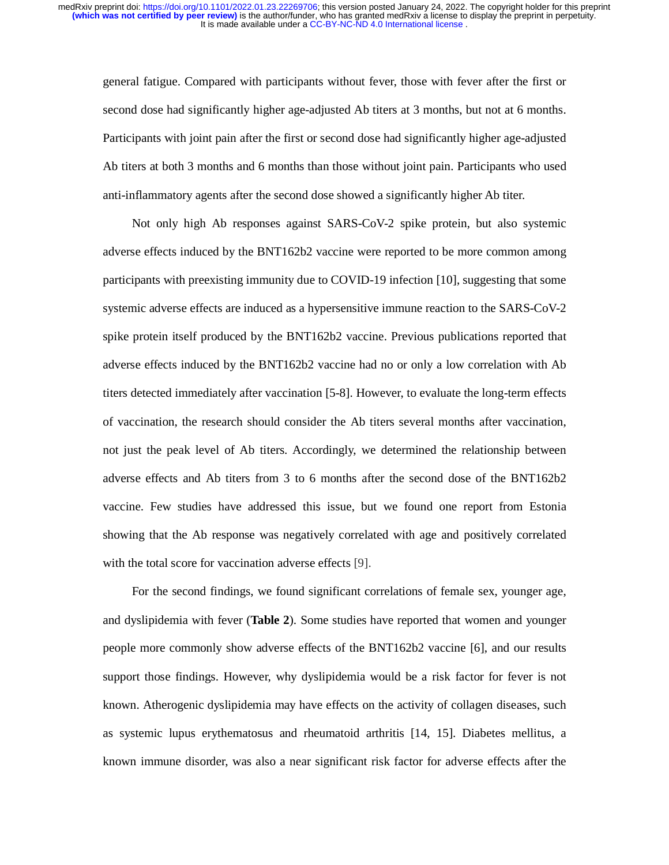general fatigue. Compared with participants without fever, those with fever after the first or second dose had significantly higher age-adjusted Ab titers at 3 months, but not at 6 months. Participants with joint pain after the first or second dose had significantly higher age-adjusted Ab titers at both 3 months and 6 months than those without joint pain. Participants who used anti-inflammatory agents after the second dose showed a significantly higher Ab titer.

Not only high Ab responses against SARS-CoV-2 spike protein, but also systemic adverse effects induced by the BNT162b2 vaccine were reported to be more common among participants with preexisting immunity due to COVID-19 infection [10], suggesting that some systemic adverse effects are induced as a hypersensitive immune reaction to the SARS-CoV-2 spike protein itself produced by the BNT162b2 vaccine. Previous publications reported that adverse effects induced by the BNT162b2 vaccine had no or only a low correlation with Ab titers detected immediately after vaccination [5-8]. However, to evaluate the long-term effects of vaccination, the research should consider the Ab titers several months after vaccination, not just the peak level of Ab titers. Accordingly, we determined the relationship between adverse effects and Ab titers from 3 to 6 months after the second dose of the BNT162b2 vaccine. Few studies have addressed this issue, but we found one report from Estonia showing that the Ab response was negatively correlated with age and positively correlated with the total score for vaccination adverse effects [9].

For the second findings, we found significant correlations of female sex, younger age, and dyslipidemia with fever (**Table 2**). Some studies have reported that women and younger people more commonly show adverse effects of the BNT162b2 vaccine [6], and our results support those findings. However, why dyslipidemia would be a risk factor for fever is not known. Atherogenic dyslipidemia may have effects on the activity of collagen diseases, such as systemic lupus erythematosus and rheumatoid arthritis [14, 15]. Diabetes mellitus, a known immune disorder, was also a near significant risk factor for adverse effects after the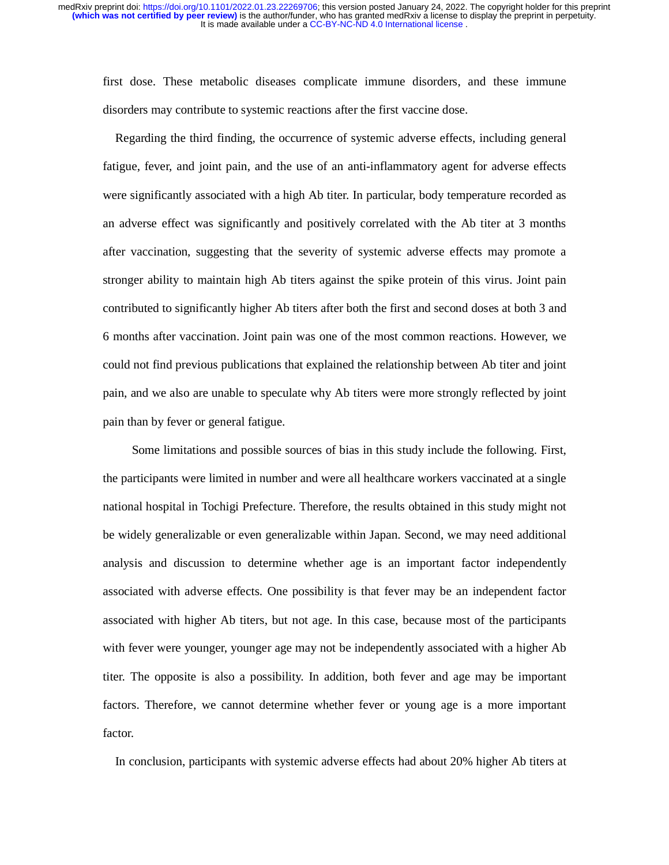first dose. These metabolic diseases complicate immune disorders, and these immune disorders may contribute to systemic reactions after the first vaccine dose.

Regarding the third finding, the occurrence of systemic adverse effects, including general fatigue, fever, and joint pain, and the use of an anti-inflammatory agent for adverse effects were significantly associated with a high Ab titer. In particular, body temperature recorded as an adverse effect was significantly and positively correlated with the Ab titer at 3 months after vaccination, suggesting that the severity of systemic adverse effects may promote a stronger ability to maintain high Ab titers against the spike protein of this virus. Joint pain contributed to significantly higher Ab titers after both the first and second doses at both 3 and 6 months after vaccination. Joint pain was one of the most common reactions. However, we could not find previous publications that explained the relationship between Ab titer and joint pain, and we also are unable to speculate why Ab titers were more strongly reflected by joint pain than by fever or general fatigue.

Some limitations and possible sources of bias in this study include the following. First, the participants were limited in number and were all healthcare workers vaccinated at a single national hospital in Tochigi Prefecture. Therefore, the results obtained in this study might not be widely generalizable or even generalizable within Japan. Second, we may need additional analysis and discussion to determine whether age is an important factor independently associated with adverse effects. One possibility is that fever may be an independent factor associated with higher Ab titers, but not age. In this case, because most of the participants with fever were younger, younger age may not be independently associated with a higher Ab titer. The opposite is also a possibility. In addition, both fever and age may be important factors. Therefore, we cannot determine whether fever or young age is a more important factor.

In conclusion, participants with systemic adverse effects had about 20% higher Ab titers at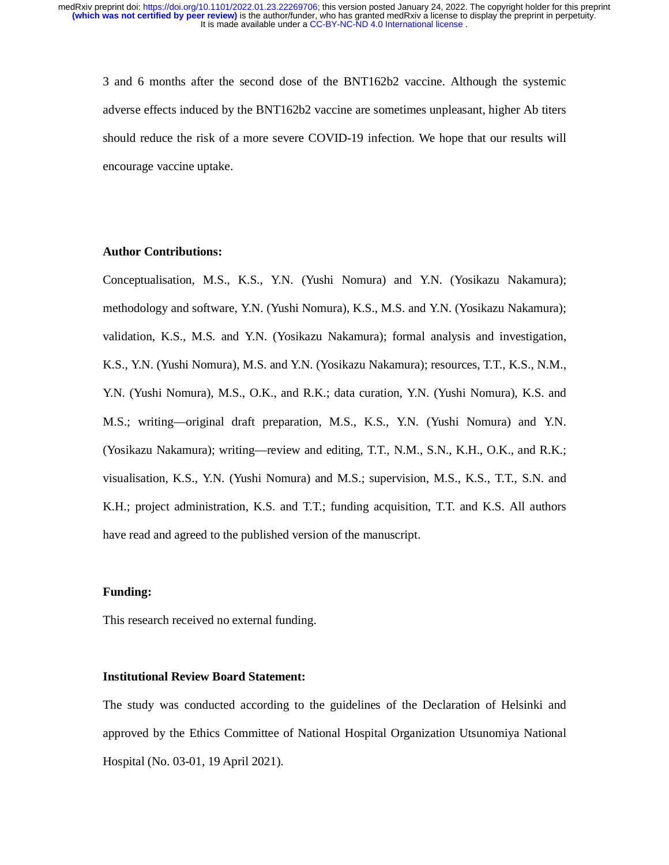3 and 6 months after the second dose of the BNT162b2 vaccine. Although the systemic adverse effects induced by the BNT162b2 vaccine are sometimes unpleasant, higher Ab titers should reduce the risk of a more severe COVID-19 infection. We hope that our results will encourage vaccine uptake.

## **Author Contributions:**

Conceptualisation, M.S., K.S., Y.N. (Yushi Nomura) and Y.N. (Yosikazu Nakamura); methodology and software, Y.N. (Yushi Nomura), K.S., M.S. and Y.N. (Yosikazu Nakamura); validation, K.S., M.S. and Y.N. (Yosikazu Nakamura); formal analysis and investigation, K.S., Y.N. (Yushi Nomura), M.S. and Y.N. (Yosikazu Nakamura); resources, T.T., K.S., N.M., Y.N. (Yushi Nomura), M.S., O.K., and R.K.; data curation, Y.N. (Yushi Nomura), K.S. and M.S.; writing—original draft preparation, M.S., K.S., Y.N. (Yushi Nomura) and Y.N. (Yosikazu Nakamura); writing—review and editing, T.T., N.M., S.N., K.H., O.K., and R.K.; visualisation, K.S., Y.N. (Yushi Nomura) and M.S.; supervision, M.S., K.S., T.T., S.N. and K.H.; project administration, K.S. and T.T.; funding acquisition, T.T. and K.S. All authors have read and agreed to the published version of the manuscript.

#### **Funding:**

This research received no external funding.

### **Institutional Review Board Statement:**

The study was conducted according to the guidelines of the Declaration of Helsinki and approved by the Ethics Committee of National Hospital Organization Utsunomiya National Hospital (No. 03-01, 19 April 2021).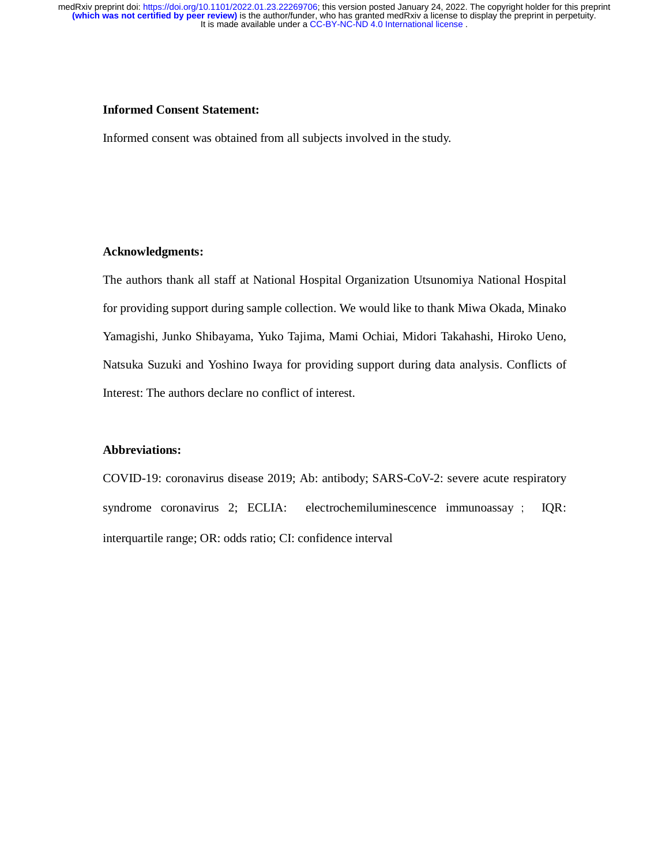#### **Informed Consent Statement:**

Informed consent was obtained from all subjects involved in the study.

## **Acknowledgments:**

The authors thank all staff at National Hospital Organization Utsunomiya National Hospital for providing support during sample collection. We would like to thank Miwa Okada, Minako Yamagishi, Junko Shibayama, Yuko Tajima, Mami Ochiai, Midori Takahashi, Hiroko Ueno, Natsuka Suzuki and Yoshino Iwaya for providing support during data analysis. Conflicts of Interest: The authors declare no conflict of interest.

## **Abbreviations:**

COVID-19: coronavirus disease 2019; Ab: antibody; SARS-CoV-2: severe acute respiratory syndrome coronavirus 2; ECLIA: electrochemiluminescence immunoassay ; IQR: interquartile range; OR: odds ratio; CI: confidence interval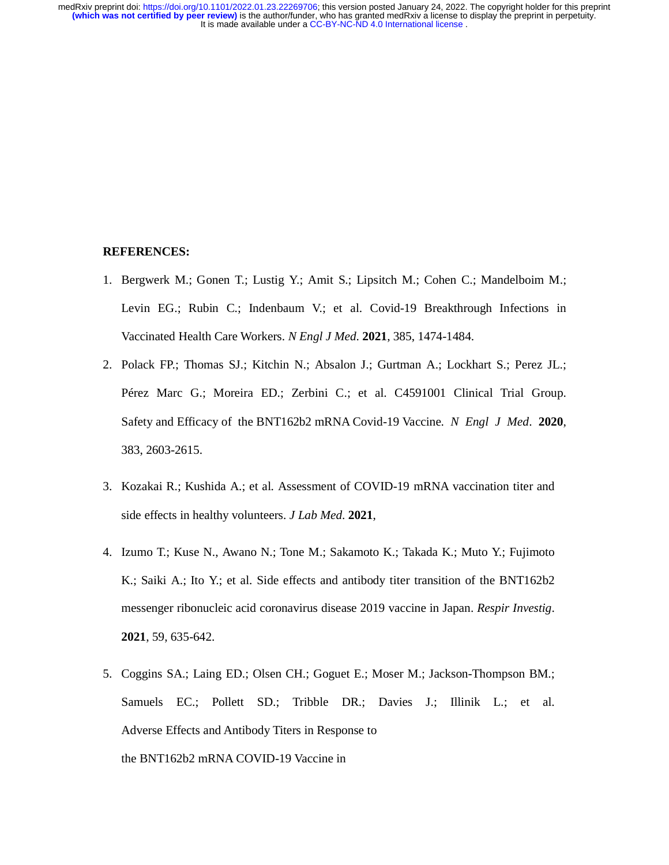#### **REFERENCES:**

- 1. Bergwerk M.; Gonen T.; Lustig Y.; Amit S.; Lipsitch M.; Cohen C.; Mandelboim M.; Levin EG.; Rubin C.; Indenbaum V.; et al. Covid-19 Breakthrough Infections in Vaccinated Health Care Workers. *N Engl J Med*. **2021**, 385, 1474-1484.
- 2. Polack FP.; Thomas SJ.; Kitchin N.; Absalon J.; Gurtman A.; Lockhart S.; Perez JL.; Pérez Marc G.; Moreira ED.; Zerbini C.; et al. C4591001 Clinical Trial Group. Safety and Efficacy of the BNT162b2 mRNA Covid-19 Vaccine. *N Engl J Med*. **2020**, 383, 2603-2615.
- 3. Kozakai R.; Kushida A.; et al. Assessment of COVID-19 mRNA vaccination titer and side effects in healthy volunteers. *J Lab Med*. **2021**,
- 4. Izumo T.; Kuse N., Awano N.; Tone M.; Sakamoto K.; Takada K.; Muto Y.; Fujimoto K.; Saiki A.; Ito Y.; et al. Side effects and antibody titer transition of the BNT162b2 messenger ribonucleic acid coronavirus disease 2019 vaccine in Japan. *Respir Investig*. **2021**, 59, 635-642.
- 5. Coggins SA.; Laing ED.; Olsen CH.; Goguet E.; Moser M.; Jackson-Thompson BM.; Samuels EC.; Pollett SD.; Tribble DR.; Davies J.; Illinik L.; et al. Adverse Effects and Antibody Titers in Response to the BNT162b2 mRNA COVID-19 Vaccine in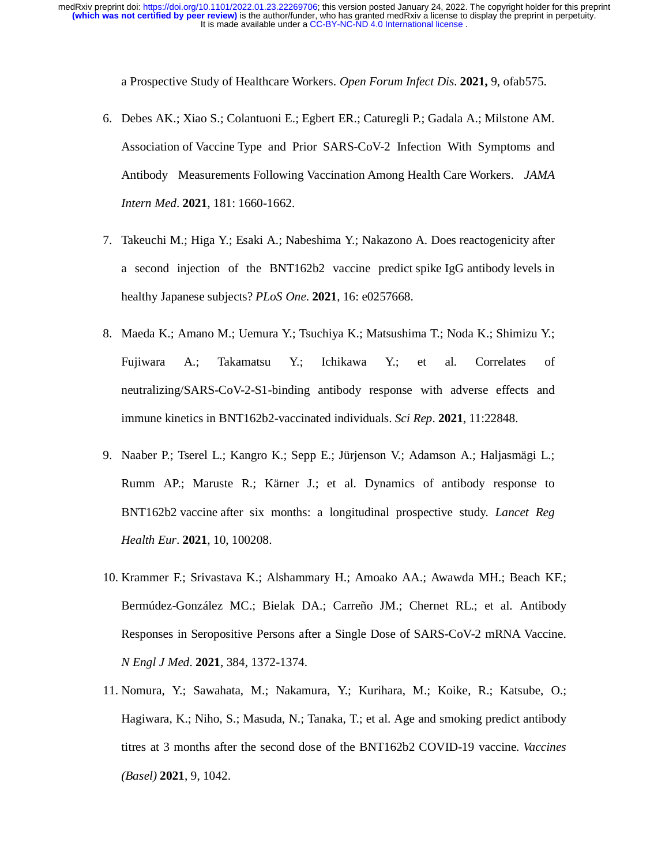a Prospective Study of Healthcare Workers. *Open Forum Infect Dis*. **2021,** 9, ofab575.

- 6. Debes AK.; Xiao S.; Colantuoni E.; Egbert ER.; Caturegli P.; Gadala A.; Milstone AM. Association of Vaccine Type and Prior SARS-CoV-2 Infection With Symptoms and Antibody Measurements Following Vaccination Among Health Care Workers. *JAMA Intern Med*. **2021**, 181: 1660-1662.
- 7. Takeuchi M.; Higa Y.; Esaki A.; Nabeshima Y.; Nakazono A. Does reactogenicity after a second injection of the BNT162b2 vaccine predict spike IgG antibody levels in healthy Japanese subjects? *PLoS One*. **2021**, 16: e0257668.
- 8. Maeda K.; Amano M.; Uemura Y.; Tsuchiya K.; Matsushima T.; Noda K.; Shimizu Y.; Fujiwara A.; Takamatsu Y.; Ichikawa Y.; et al. Correlates of neutralizing/SARS-CoV-2-S1-binding antibody response with adverse effects and immune kinetics in BNT162b2-vaccinated individuals. *Sci Rep*. **2021**, 11:22848.
- 9. Naaber P.; Tserel L.; Kangro K.; Sepp E.; Jürjenson V.; Adamson A.; Haljasmägi L.; Rumm AP.; Maruste R.; Kärner J.; et al. Dynamics of antibody response to BNT162b2 vaccine after six months: a longitudinal prospective study. *Lancet Reg Health Eur*. **2021**, 10, 100208.
- 10. Krammer F.; Srivastava K.; Alshammary H.; Amoako AA.; Awawda MH.; Beach KF.; Bermúdez-González MC.; Bielak DA.; Carreño JM.; Chernet RL.; et al. Antibody Responses in Seropositive Persons after a Single Dose of SARS-CoV-2 mRNA Vaccine. *N Engl J Med*. **2021**, 384, 1372-1374.
- 11. Nomura, Y.; Sawahata, M.; Nakamura, Y.; Kurihara, M.; Koike, R.; Katsube, O.; Hagiwara, K.; Niho, S.; Masuda, N.; Tanaka, T.; et al. Age and smoking predict antibody titres at 3 months after the second dose of the BNT162b2 COVID-19 vaccine. *Vaccines (Basel)* **2021**, 9, 1042.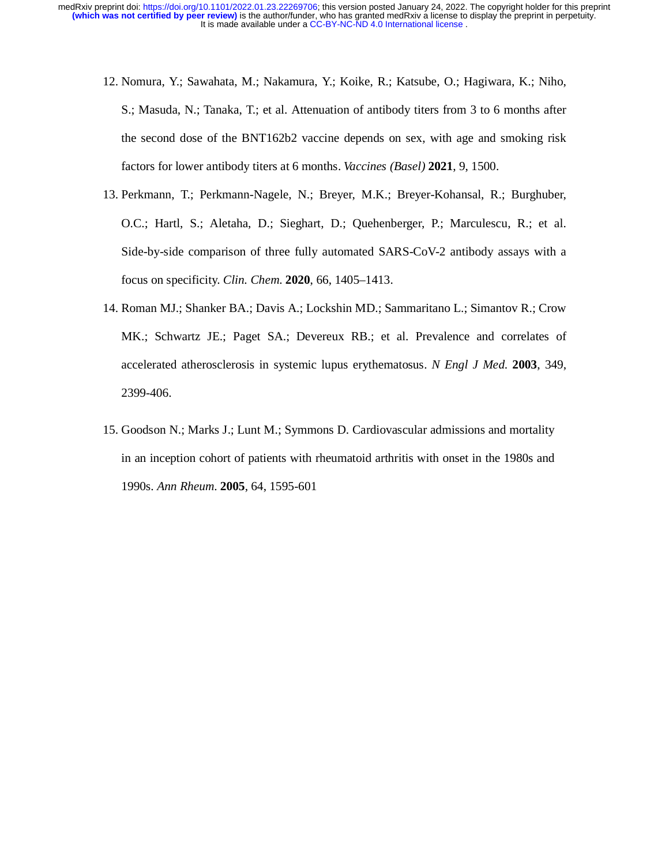- 12. Nomura, Y.; Sawahata, M.; Nakamura, Y.; Koike, R.; Katsube, O.; Hagiwara, K.; Niho, S.; Masuda, N.; Tanaka, T.; et al. Attenuation of antibody titers from 3 to 6 months after the second dose of the BNT162b2 vaccine depends on sex, with age and smoking risk factors for lower antibody titers at 6 months. *Vaccines (Basel)* **2021**, 9, 1500.
- 13. Perkmann, T.; Perkmann-Nagele, N.; Breyer, M.K.; Breyer-Kohansal, R.; Burghuber, O.C.; Hartl, S.; Aletaha, D.; Sieghart, D.; Quehenberger, P.; Marculescu, R.; et al. Side-by-side comparison of three fully automated SARS-CoV-2 antibody assays with a focus on specificity. *Clin. Chem*. **2020**, 66, 1405–1413.
- 14. Roman MJ.; Shanker BA.; Davis A.; Lockshin MD.; Sammaritano L.; Simantov R.; Crow MK.; Schwartz JE.; Paget SA.; Devereux RB.; et al. Prevalence and correlates of accelerated atherosclerosis in systemic lupus erythematosus. *N Engl J Med.* **2003**, 349, 2399-406.
- 15. Goodson N.; Marks J.; Lunt M.; Symmons D. Cardiovascular admissions and mortality in an inception cohort of patients with rheumatoid arthritis with onset in the 1980s and 1990s. *Ann Rheum*. **2005**, 64, 1595-601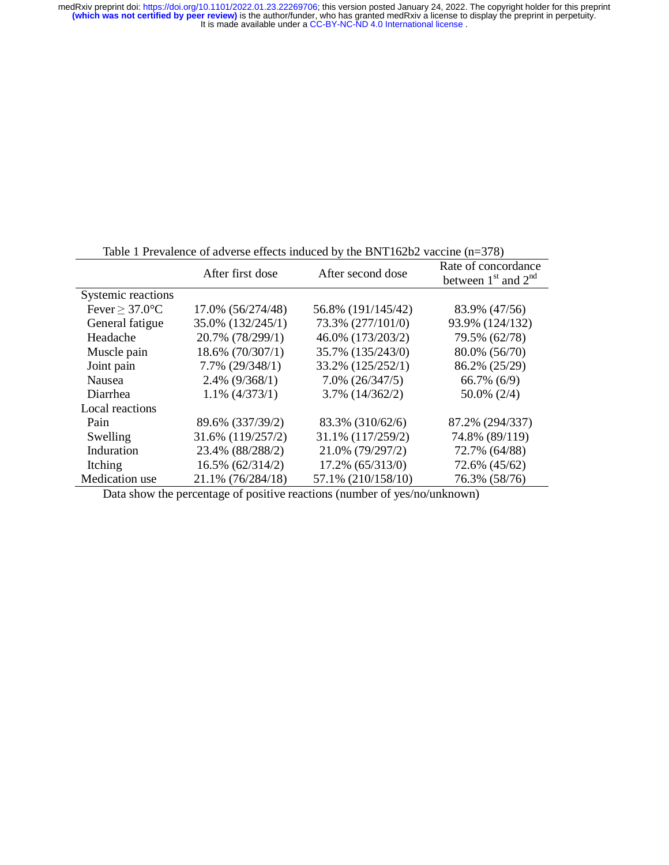|                                  | After first dose     | After second dose    | Rate of concordance<br>between $1st$ and $2nd$ |
|----------------------------------|----------------------|----------------------|------------------------------------------------|
| Systemic reactions               |                      |                      |                                                |
| Fever $\geq 37.0$ <sup>o</sup> C | 17.0% (56/274/48)    | 56.8% (191/145/42)   | 83.9% (47/56)                                  |
| General fatigue                  | 35.0% (132/245/1)    | 73.3% (277/101/0)    | 93.9% (124/132)                                |
| Headache                         | 20.7% (78/299/1)     | 46.0% (173/203/2)    | 79.5% (62/78)                                  |
| Muscle pain                      | 18.6% (70/307/1)     | 35.7% (135/243/0)    | 80.0% (56/70)                                  |
| Joint pain                       | $7.7\%$ $(29/348/1)$ | 33.2% (125/252/1)    | 86.2% (25/29)                                  |
| Nausea                           | $2.4\%$ (9/368/1)    | $7.0\%$ $(26/347/5)$ | $66.7\%$ $(6/9)$                               |
| Diarrhea                         | $1.1\%$ (4/373/1)    | $3.7\%$ $(14/362/2)$ | $50.0\%$ (2/4)                                 |
| Local reactions                  |                      |                      |                                                |
| Pain                             | 89.6% (337/39/2)     | 83.3% (310/62/6)     | 87.2% (294/337)                                |
| Swelling                         | 31.6% (119/257/2)    | 31.1% (117/259/2)    | 74.8% (89/119)                                 |
| Induration                       | 23.4% (88/288/2)     | 21.0% (79/297/2)     | 72.7% (64/88)                                  |
| Itching                          | 16.5% (62/314/2)     | 17.2% (65/313/0)     | 72.6% (45/62)                                  |
| Medication use                   | 21.1% (76/284/18)    | 57.1% (210/158/10)   | 76.3% (58/76)                                  |

Table 1 Prevalence of adverse effects induced by the BNT162b2 vaccine (n=378)

Data show the percentage of positive reactions (number of yes/no/unknown)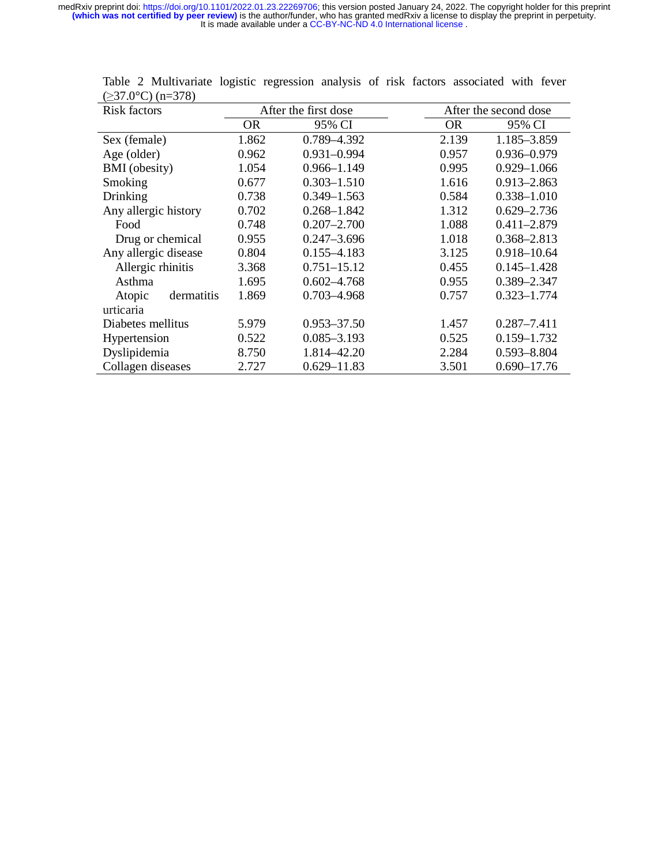| <b>Risk factors</b>  | After the first dose |                 |       | After the second dose |  |
|----------------------|----------------------|-----------------|-------|-----------------------|--|
|                      | <b>OR</b>            | 95% CI          | OR.   | 95% CI                |  |
| Sex (female)         | 1.862                | 0.789-4.392     | 2.139 | 1.185-3.859           |  |
| Age (older)          | 0.962                | $0.931 - 0.994$ | 0.957 | 0.936-0.979           |  |
| <b>BMI</b> (obesity) | 1.054                | $0.966 - 1.149$ | 0.995 | $0.929 - 1.066$       |  |
| Smoking              | 0.677                | $0.303 - 1.510$ | 1.616 | $0.913 - 2.863$       |  |
| Drinking             | 0.738                | $0.349 - 1.563$ | 0.584 | $0.338 - 1.010$       |  |
| Any allergic history | 0.702                | $0.268 - 1.842$ | 1.312 | $0.629 - 2.736$       |  |
| Food                 | 0.748                | $0.207 - 2.700$ | 1.088 | $0.411 - 2.879$       |  |
| Drug or chemical     | 0.955                | $0.247 - 3.696$ | 1.018 | $0.368 - 2.813$       |  |
| Any allergic disease | 0.804                | $0.155 - 4.183$ | 3.125 | 0.918-10.64           |  |
| Allergic rhinitis    | 3.368                | $0.751 - 15.12$ | 0.455 | $0.145 - 1.428$       |  |
| Asthma               | 1.695                | $0.602 - 4.768$ | 0.955 | 0.389-2.347           |  |
| dermatitis<br>Atopic | 1.869                | 0.703-4.968     | 0.757 | $0.323 - 1.774$       |  |
| urticaria            |                      |                 |       |                       |  |
| Diabetes mellitus    | 5.979                | $0.953 - 37.50$ | 1.457 | $0.287 - 7.411$       |  |
| Hypertension         | 0.522                | $0.085 - 3.193$ | 0.525 | $0.159 - 1.732$       |  |
| Dyslipidemia         | 8.750                | 1.814-42.20     | 2.284 | $0.593 - 8.804$       |  |
| Collagen diseases    | 2.727                | $0.629 - 11.83$ | 3.501 | $0.690 - 17.76$       |  |

Table 2 Multivariate logistic regression analysis of risk factors associated with fever  $(\geq 37.0^{\circ}C)(n=378)$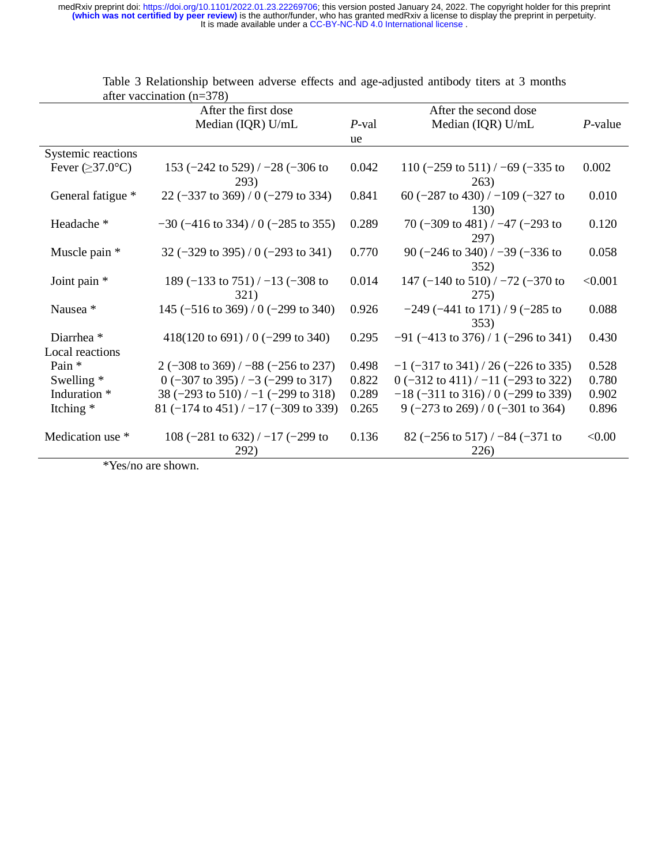|                              | and vaccination $(n-3/8)$                                |       |                                                             |            |
|------------------------------|----------------------------------------------------------|-------|-------------------------------------------------------------|------------|
|                              | After the first dose                                     |       | After the second dose                                       |            |
|                              | Median (IQR) U/mL                                        | P-val | Median (IQR) U/mL                                           | $P$ -value |
|                              |                                                          | ue    |                                                             |            |
| Systemic reactions           |                                                          |       |                                                             |            |
| Fever $(\geq 37.0^{\circ}C)$ | 153 $(-242 \text{ to } 529) / -28 (-306 \text{ to }$     | 0.042 | 110 ( $-259$ to 511) / $-69$ ( $-335$ to                    | 0.002      |
|                              | 293)                                                     |       | 263)                                                        |            |
| General fatigue *            | 22 $(-337 \text{ to } 369) / 0 (-279 \text{ to } 334)$   | 0.841 | 60 ( $-287$ to 430) / $-109$ ( $-327$ to                    | 0.010      |
|                              |                                                          |       | 130)                                                        |            |
| Headache <sup>*</sup>        | $-30$ (-416 to 334) / 0 (-285 to 355)                    | 0.289 | 70 $(-309 \text{ to } 481) / -47 (-293 \text{ to }$         | 0.120      |
|                              |                                                          |       | 297)                                                        |            |
| Muscle pain *                | 32 $(-329 \text{ to } 395) / 0 (-293 \text{ to } 341)$   | 0.770 | 90 $(-246 \text{ to } 340) / -39 (-336 \text{ to }$         | 0.058      |
|                              |                                                          |       | 352)                                                        |            |
| Joint pain *                 | 189 $(-133 \text{ to } 751) / -13 (-308 \text{ to }$     | 0.014 | 147 $(-140 \text{ to } 510) / -72 (-370 \text{ to }$        | < 0.001    |
|                              | 321)                                                     |       |                                                             |            |
|                              |                                                          |       | 275)                                                        |            |
| Nausea <sup>*</sup>          | 145 $(-516 \text{ to } 369) / 0 (-299 \text{ to } 340)$  | 0.926 | $-249$ ( $-441$ to 171) / 9 ( $-285$ to                     | 0.088      |
|                              |                                                          |       | 353)                                                        |            |
| Diarrhea <sup>*</sup>        | $418(120 \text{ to } 691) / 0 (-299 \text{ to } 340)$    | 0.295 | $-91$ ( $-413$ to 376) / 1 ( $-296$ to 341)                 | 0.430      |
| Local reactions              |                                                          |       |                                                             |            |
| Pain *                       | 2 $(-308 \text{ to } 369) / -88 (-256 \text{ to } 237)$  | 0.498 | $-1$ (-317 to 341) / 26 (-226 to 335)                       | 0.528      |
| Swelling $*$                 | $0$ (-307 to 395) / -3 (-299 to 317)                     | 0.822 | $0$ (-312 to 411) / -11 (-293 to 322)                       | 0.780      |
| Induration *                 | 38 $(-293 \text{ to } 510) / -1 (-299 \text{ to } 318)$  | 0.289 | $-18$ (-311 to 316) / 0 (-299 to 339)                       | 0.902      |
| Itching $*$                  | 81 $(-174 \text{ to } 451) / -17 (-309 \text{ to } 339)$ | 0.265 | 9 $(-273 \text{ to } 269) / 0 (-301 \text{ to } 364)$       | 0.896      |
|                              |                                                          |       |                                                             |            |
| Medication use *             | 108 $(-281 \text{ to } 632) / -17 (-299 \text{ to }$     | 0.136 | 82 $(-256 \text{ to } 517)$ / $-84$ $(-371 \text{ to } 82)$ | < 0.00     |
|                              |                                                          |       |                                                             |            |
|                              | 292)                                                     |       | 226)                                                        |            |

Table 3 Relationship between adverse effects and age-adjusted antibody titers at 3 months after vaccination  $(n=378)$ 

\*Yes/no are shown.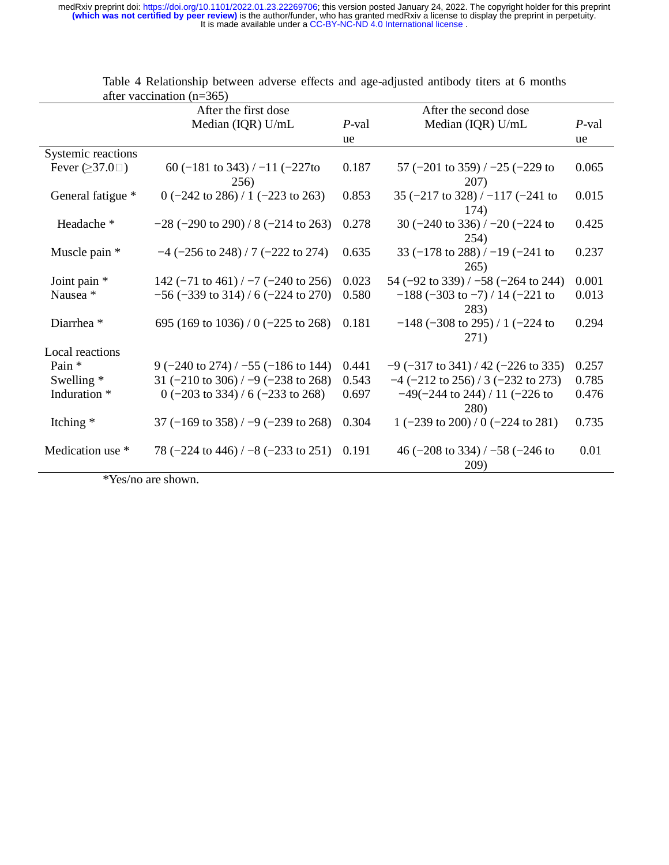| antle vaccination $(11 - 303)$ |                                                         |       |                                                         |          |
|--------------------------------|---------------------------------------------------------|-------|---------------------------------------------------------|----------|
|                                | After the first dose                                    |       | After the second dose                                   |          |
|                                | Median (IQR) U/mL                                       | P-val | Median (IQR) U/mL                                       | $P$ -val |
|                                |                                                         | ue    |                                                         | ue       |
| Systemic reactions             |                                                         |       |                                                         |          |
| Fever $(237.0\Box)$            | 60 (-181 to 343) / -11 (-227 to                         | 0.187 | 57 $(-201 \text{ to } 359)$ / $-25$ $(-229 \text{ to }$ | 0.065    |
|                                | 256)                                                    |       | 207)                                                    |          |
| General fatigue *              | $0$ (-242 to 286) / 1 (-223 to 263)                     | 0.853 | 35 $(-217 \text{ to } 328) / -117 (-241 \text{ to }$    | 0.015    |
|                                |                                                         |       | 174)                                                    |          |
| Headache <sup>*</sup>          | $-28$ ( $-290$ to 290) / 8 ( $-214$ to 263)             | 0.278 | 30 ( $-240$ to 336) / $-20$ ( $-224$ to                 | 0.425    |
|                                |                                                         |       | 254)                                                    |          |
| Muscle pain *                  | $-4$ ( $-256$ to 248) / 7 ( $-222$ to 274)              | 0.635 | 33 $(-178 \text{ to } 288) / -19 (-241 \text{ to }$     | 0.237    |
|                                |                                                         |       | 265)                                                    |          |
| Joint pain $*$                 | 142 $(-71 \text{ to } 461) / -7 (-240 \text{ to } 256)$ | 0.023 | 54 $(-92 \text{ to } 339) / -58 (-264 \text{ to } 244)$ | 0.001    |
| Nausea *                       | $-56$ ( $-339$ to 314) / 6 ( $-224$ to 270)             | 0.580 | $-188$ (-303 to -7) / 14 (-221 to                       | 0.013    |
|                                |                                                         |       | 283)                                                    |          |
| Diarrhea <sup>*</sup>          | 695 (169 to 1036) / 0 ( $-225$ to 268)                  | 0.181 | $-148$ (-308 to 295) / 1 (-224 to                       | 0.294    |
|                                |                                                         |       | 271)                                                    |          |
| Local reactions                |                                                         |       |                                                         |          |
| Pain *                         | 9 $(-240 \text{ to } 274) / -55 (-186 \text{ to } 144)$ | 0.441 | $-9$ (-317 to 341) / 42 (-226 to 335)                   | 0.257    |
| Swelling $*$                   | 31 ( $-210$ to 306) / $-9$ ( $-238$ to 268)             | 0.543 | $-4$ ( $-212$ to 256) / 3 ( $-232$ to 273)              | 0.785    |
| Induration *                   | 0 $(-203 \text{ to } 334) / 6 (-233 \text{ to } 268)$   | 0.697 | $-49(-244 \text{ to } 244) / 11 (-226 \text{ to }$      | 0.476    |
|                                |                                                         |       | 280)                                                    |          |
| Itching $*$                    | 37 (-169 to 358) / -9 (-239 to 268)                     | 0.304 | 1 $(-239 \text{ to } 200) / 0 (-224 \text{ to } 281)$   | 0.735    |
|                                |                                                         |       |                                                         |          |
| Medication use *               | 78 $(-224 \text{ to } 446) / -8 (-233 \text{ to } 251)$ | 0.191 | 46 ( $-208$ to 334) / $-58$ ( $-246$ to                 | 0.01     |
|                                |                                                         |       | 209)                                                    |          |

Table 4 Relationship between adverse effects and age-adjusted antibody titers at 6 months after vaccination  $(n=365)$ 

\*Yes/no are shown.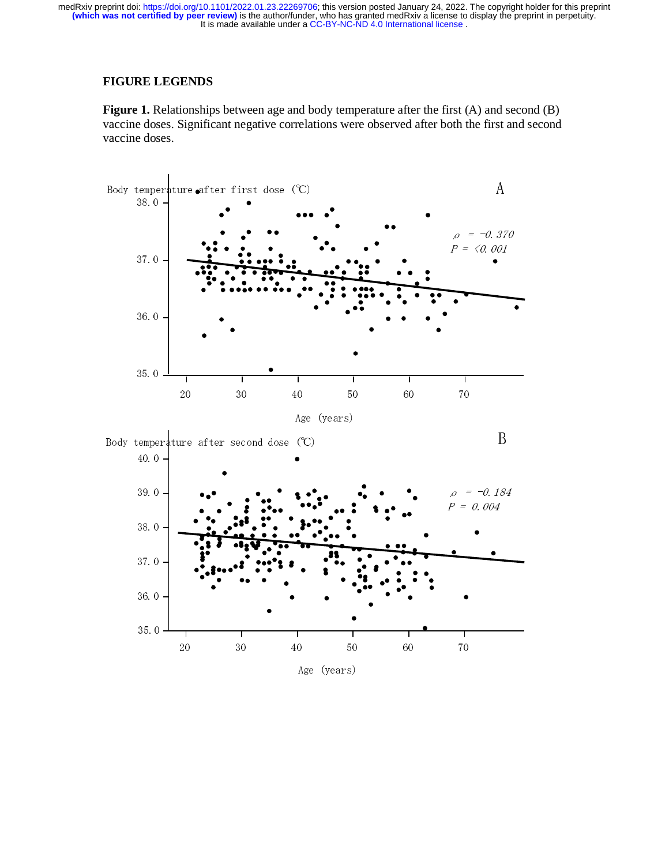## **FIGURE LEGENDS**

Figure 1. Relationships between age and body temperature after the first (A) and second (B) vaccine doses. Significant negative correlations were observed after both the first and second vaccine doses.